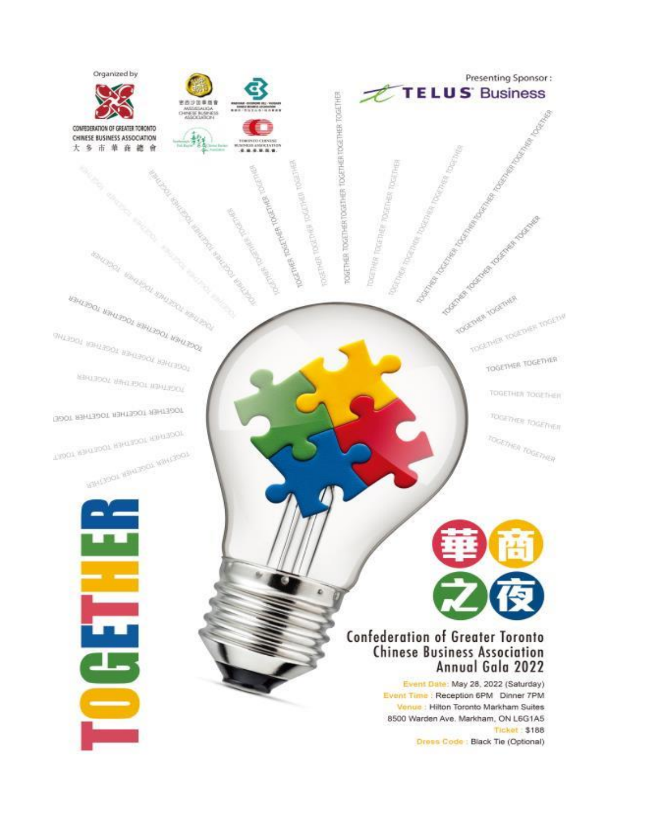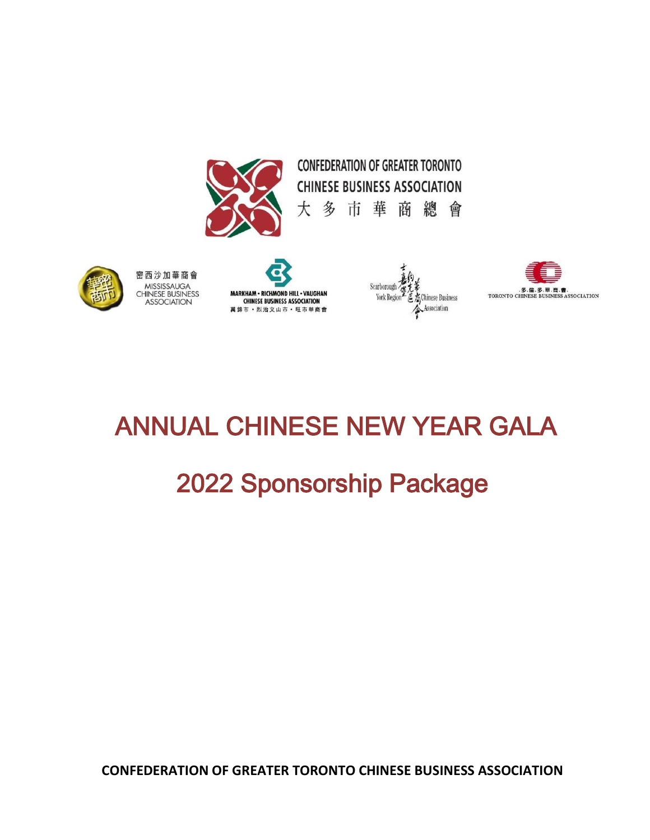





密西沙加華商會 MISSISSAUGA **CHINESE BUSINESS ASSOCIATION** 



Scarborough *在*名<br>- York Region - 医态Chinese Business Association

# ANNUAL CHINESE NEW YEAR GALA

# 2022 Sponsorship Package

**CONFEDERATION OF GREATER TORONTO CHINESE BUSINESS ASSOCIATION**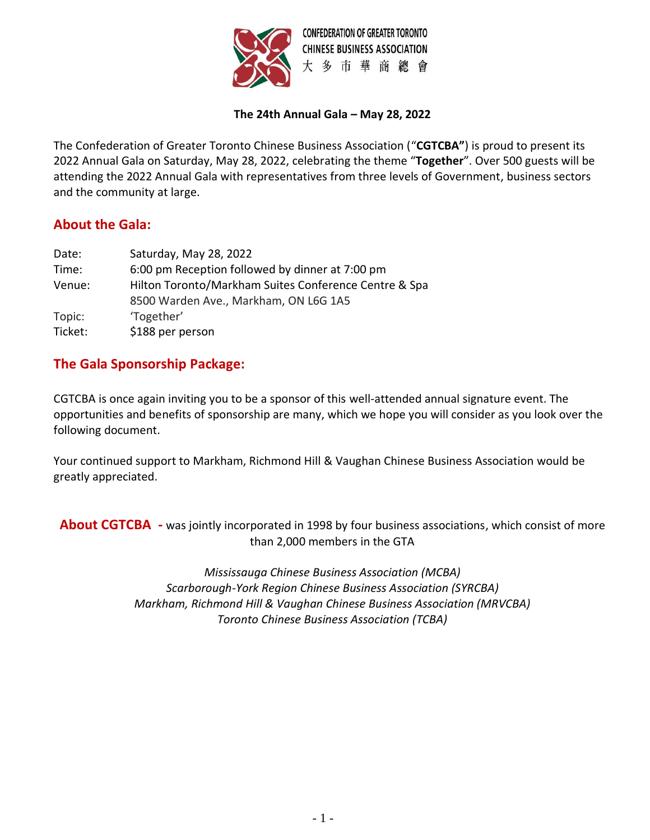

#### **The 24th Annual Gala – May 28, 2022**

The Confederation of Greater Toronto Chinese Business Association ("**CGTCBA"**) is proud to present its 2022 Annual Gala on Saturday, May 28, 2022, celebrating the theme "**Together**". Over 500 guests will be attending the 2022 Annual Gala with representatives from three levels of Government, business sectors and the community at large.

#### **About the Gala:**

| Date:             | Saturday, May 28, 2022                                                                         |
|-------------------|------------------------------------------------------------------------------------------------|
| Time:             | 6:00 pm Reception followed by dinner at 7:00 pm                                                |
| Venue:            | Hilton Toronto/Markham Suites Conference Centre & Spa<br>8500 Warden Ave., Markham, ON L6G 1A5 |
| Topic:<br>Ticket: | 'Together'<br>\$188 per person                                                                 |

#### **The Gala Sponsorship Package:**

CGTCBA is once again inviting you to be a sponsor of this well-attended annual signature event. The opportunities and benefits of sponsorship are many, which we hope you will consider as you look over the following document.

Your continued support to Markham, Richmond Hill & Vaughan Chinese Business Association would be greatly appreciated.

**About CGTCBA -** was jointly incorporated in 1998 by four business associations, which consist of more than 2,000 members in the GTA

> *Mississauga Chinese Business Association (MCBA) Scarborough-York Region Chinese Business Association (SYRCBA) Markham, Richmond Hill & Vaughan Chinese Business Association (MRVCBA) Toronto Chinese Business Association (TCBA)*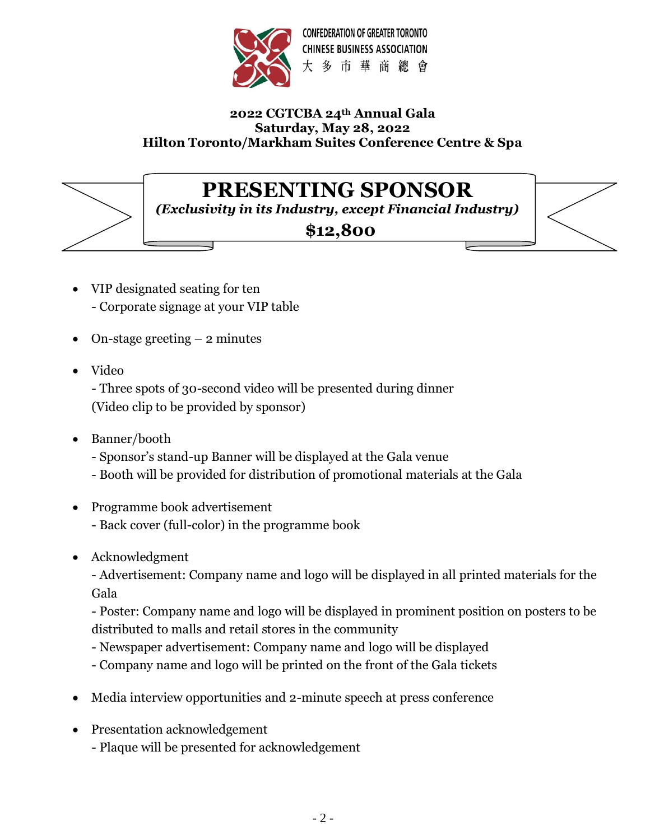

#### **2022 CGTCBA 24th Annual Gala Saturday, May 28, 2022 Hilton Toronto/Markham Suites Conference Centre & Spa**

# **PRESENTING SPONSOR**

*(Exclusivity in its Industry, except Financial Industry)*

#### **\$12,800**



- VIP designated seating for ten - Corporate signage at your VIP table
- On-stage greeting  $-2$  minutes
- Video

- Three spots of 30-second video will be presented during dinner (Video clip to be provided by sponsor)

- Banner/booth
	- Sponsor's stand-up Banner will be displayed at the Gala venue
	- Booth will be provided for distribution of promotional materials at the Gala
- Programme book advertisement - Back cover (full-color) in the programme book
- Acknowledgment

- Advertisement: Company name and logo will be displayed in all printed materials for the Gala

- Poster: Company name and logo will be displayed in prominent position on posters to be distributed to malls and retail stores in the community

- Newspaper advertisement: Company name and logo will be displayed
- Company name and logo will be printed on the front of the Gala tickets
- Media interview opportunities and 2-minute speech at press conference
- Presentation acknowledgement
	- Plaque will be presented for acknowledgement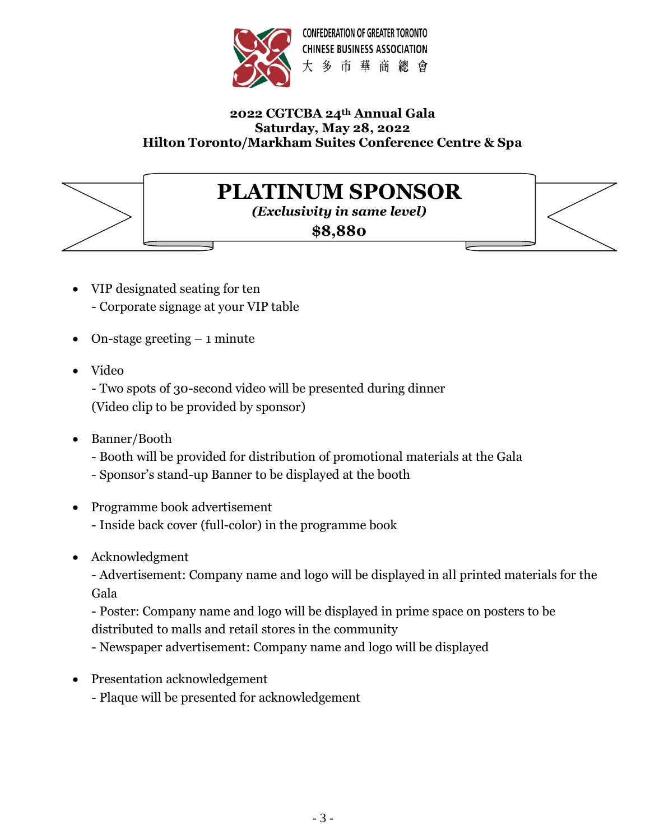

#### **2022 CGTCBA 24th Annual Gala Saturday, May 28, 2022 Hilton Toronto/Markham Suites Conference Centre & Spa**

### **PLATINUM SPONSOR**

*(Exclusivity in same level)*

**\$8,880**

- VIP designated seating for ten - Corporate signage at your VIP table
- On-stage greeting  $-1$  minute
- Video

- Two spots of 30-second video will be presented during dinner (Video clip to be provided by sponsor)

- Banner/Booth
	- Booth will be provided for distribution of promotional materials at the Gala
	- Sponsor's stand-up Banner to be displayed at the booth
- Programme book advertisement - Inside back cover (full-color) in the programme book
- Acknowledgment

- Advertisement: Company name and logo will be displayed in all printed materials for the Gala

- Poster: Company name and logo will be displayed in prime space on posters to be distributed to malls and retail stores in the community

- Newspaper advertisement: Company name and logo will be displayed

- Presentation acknowledgement
	- Plaque will be presented for acknowledgement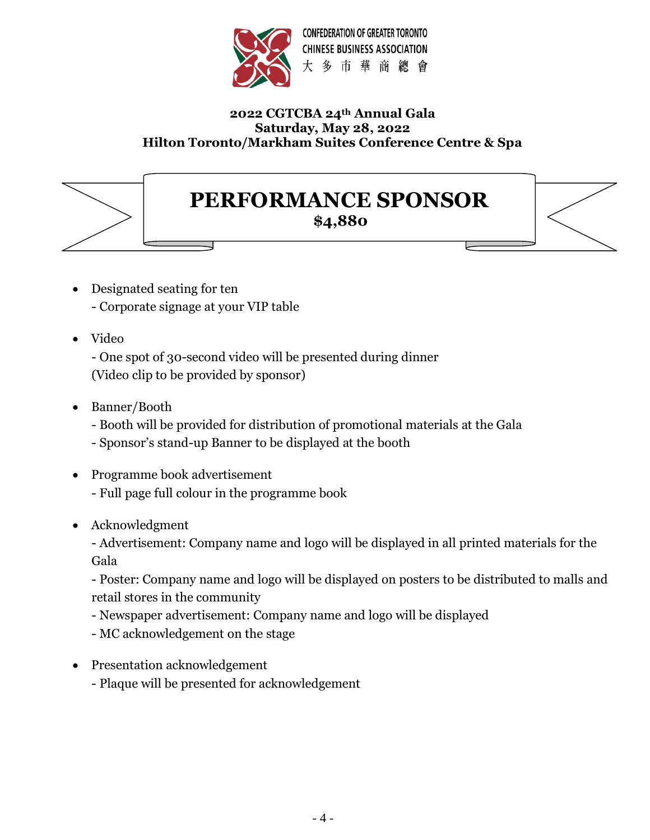

#### **2022 CGTCBA 24th Annual Gala Saturday, May 28, 2022 Hilton Toronto/Markham Suites Conference Centre & Spa**

### **PERFORMANCE SPONSOR**

**\$4,880**

- Designated seating for ten - Corporate signage at your VIP table
- Video

- One spot of 30-second video will be presented during dinner (Video clip to be provided by sponsor)

- Banner/Booth
	- Booth will be provided for distribution of promotional materials at the Gala
	- Sponsor's stand-up Banner to be displayed at the booth
- Programme book advertisement - Full page full colour in the programme book
- Acknowledgment

- Advertisement: Company name and logo will be displayed in all printed materials for the Gala

- Poster: Company name and logo will be displayed on posters to be distributed to malls and retail stores in the community

- Newspaper advertisement: Company name and logo will be displayed
- MC acknowledgement on the stage
- Presentation acknowledgement
	- Plaque will be presented for acknowledgement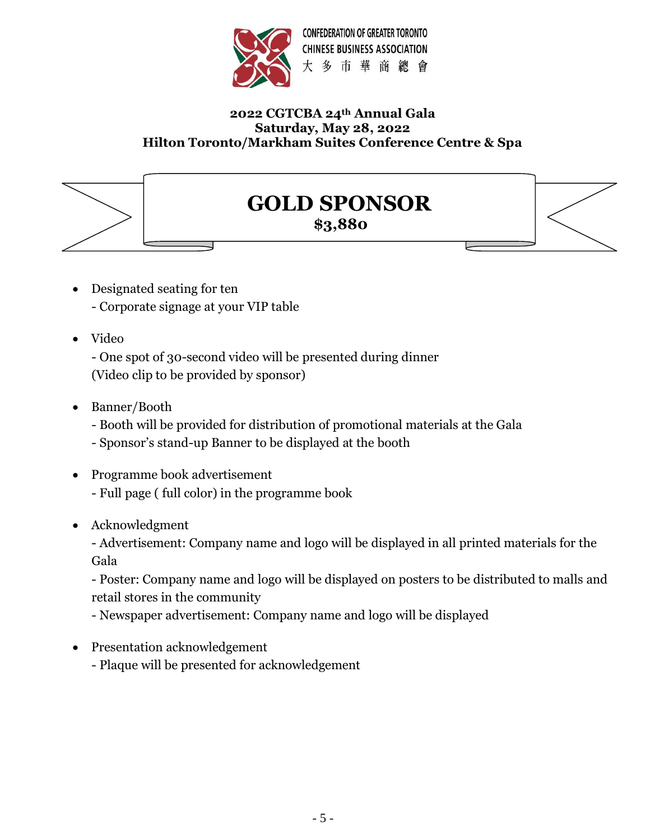

#### **2022 CGTCBA 24th Annual Gala Saturday, May 28, 2022 Hilton Toronto/Markham Suites Conference Centre & Spa**



# **GOLD SPONSOR**

**\$3,880**

- Designated seating for ten - Corporate signage at your VIP table
- Video

- One spot of 30-second video will be presented during dinner (Video clip to be provided by sponsor)

- Banner/Booth
	- Booth will be provided for distribution of promotional materials at the Gala
	- Sponsor's stand-up Banner to be displayed at the booth
- Programme book advertisement - Full page ( full color) in the programme book
- Acknowledgment

- Advertisement: Company name and logo will be displayed in all printed materials for the Gala

- Poster: Company name and logo will be displayed on posters to be distributed to malls and retail stores in the community

- Newspaper advertisement: Company name and logo will be displayed

• Presentation acknowledgement

- Plaque will be presented for acknowledgement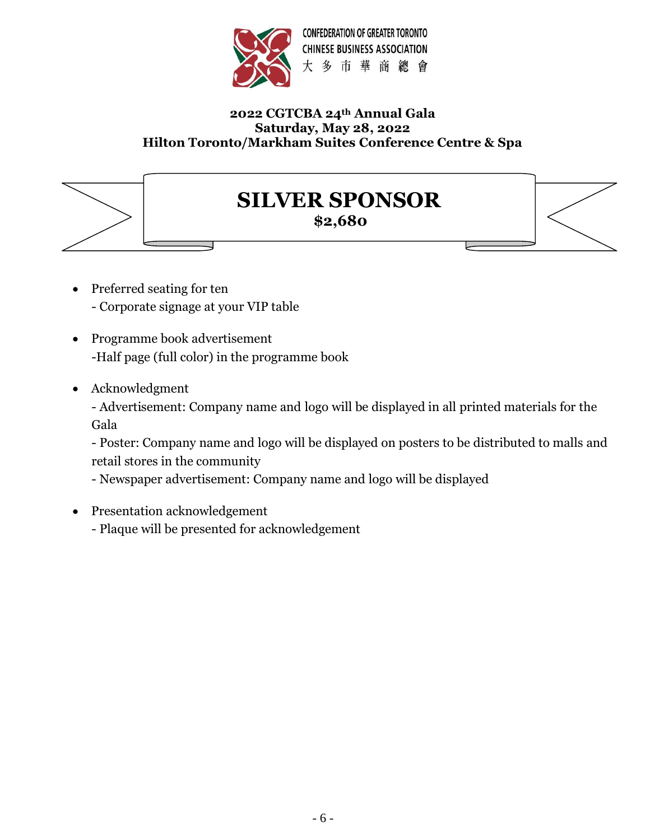

#### **2022 CGTCBA 24th Annual Gala Saturday, May 28, 2022 Hilton Toronto/Markham Suites Conference Centre & Spa**



## **SILVER SPONSOR**

**\$2,680**

- Preferred seating for ten - Corporate signage at your VIP table
- Programme book advertisement -Half page (full color) in the programme book
- Acknowledgment

- Advertisement: Company name and logo will be displayed in all printed materials for the Gala

- Poster: Company name and logo will be displayed on posters to be distributed to malls and retail stores in the community

- Newspaper advertisement: Company name and logo will be displayed

- Presentation acknowledgement
	- Plaque will be presented for acknowledgement